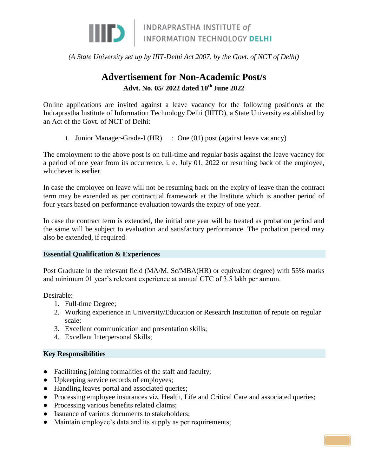

*(A State University set up by IIIT-Delhi Act 2007, by the Govt. of NCT of Delhi)*

# **Advertisement for Non-Academic Post/s Advt. No. 05/ 2022 dated 10th June 2022**

Online applications are invited against a leave vacancy for the following position/s at the Indraprastha Institute of Information Technology Delhi (IIITD), a State University established by an Act of the Govt. of NCT of Delhi:

1. Junior Manager-Grade-I (HR) : One (01) post (against leave vacancy)

The employment to the above post is on full-time and regular basis against the leave vacancy for a period of one year from its occurrence, i. e. July 01, 2022 or resuming back of the employee, whichever is earlier.

In case the employee on leave will not be resuming back on the expiry of leave than the contract term may be extended as per contractual framework at the Institute which is another period of four years based on performance evaluation towards the expiry of one year.

In case the contract term is extended, the initial one year will be treated as probation period and the same will be subject to evaluation and satisfactory performance. The probation period may also be extended, if required.

#### **Essential Qualification & Experiences**

Post Graduate in the relevant field (MA/M. Sc/MBA(HR) or equivalent degree) with 55% marks and minimum 01 year's relevant experience at annual CTC of 3.5 lakh per annum.

Desirable:

- 1. Full-time Degree;
- 2. Working experience in University/Education or Research Institution of repute on regular scale;
- 3. Excellent communication and presentation skills;
- 4. Excellent Interpersonal Skills;

#### **Key Responsibilities**

- Facilitating joining formalities of the staff and faculty;
- Upkeeping service records of employees;
- Handling leaves portal and associated queries;
- Processing employee insurances viz. Health, Life and Critical Care and associated queries;
- Processing various benefits related claims;
- Issuance of various documents to stakeholders;
- Maintain employee's data and its supply as per requirements;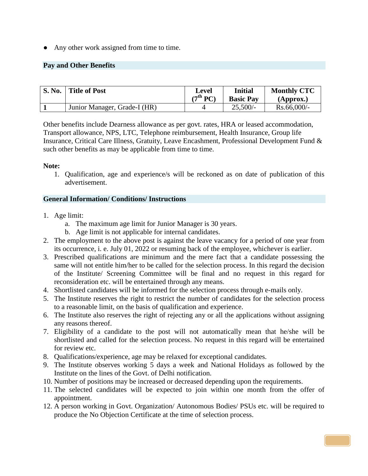• Any other work assigned from time to time.

### **Pay and Other Benefits**

| <b>S. No.</b> | Title of Post                | Level<br>(7 $^{\text{th}}$ PC) | <b>Initial</b><br><b>Basic Pay</b> | <b>Monthly CTC</b><br>(Approx.) |
|---------------|------------------------------|--------------------------------|------------------------------------|---------------------------------|
|               | Junior Manager, Grade-I (HR) |                                | $25,500/-$                         | $Rs.66,000/$ -                  |

Other benefits include Dearness allowance as per govt. rates, HRA or leased accommodation, Transport allowance, NPS, LTC, Telephone reimbursement, Health Insurance, Group life Insurance, Critical Care Illness, Gratuity, Leave Encashment, Professional Development Fund & such other benefits as may be applicable from time to time.

#### **Note:**

1. Qualification, age and experience/s will be reckoned as on date of publication of this advertisement.

#### **General Information/ Conditions/ Instructions**

- 1. Age limit:
	- a. The maximum age limit for Junior Manager is 30 years.
	- b. Age limit is not applicable for internal candidates.
- 2. The employment to the above post is against the leave vacancy for a period of one year from its occurrence, i. e. July 01, 2022 or resuming back of the employee, whichever is earlier.
- 3. Prescribed qualifications are minimum and the mere fact that a candidate possessing the same will not entitle him/her to be called for the selection process. In this regard the decision of the Institute/ Screening Committee will be final and no request in this regard for reconsideration etc. will be entertained through any means.
- 4. Shortlisted candidates will be informed for the selection process through e-mails only.
- 5. The Institute reserves the right to restrict the number of candidates for the selection process to a reasonable limit, on the basis of qualification and experience.
- 6. The Institute also reserves the right of rejecting any or all the applications without assigning any reasons thereof.
- 7. Eligibility of a candidate to the post will not automatically mean that he/she will be shortlisted and called for the selection process. No request in this regard will be entertained for review etc.
- 8. Qualifications/experience, age may be relaxed for exceptional candidates.
- 9. The Institute observes working 5 days a week and National Holidays as followed by the Institute on the lines of the Govt. of Delhi notification.
- 10. Number of positions may be increased or decreased depending upon the requirements.
- 11. The selected candidates will be expected to join within one month from the offer of appointment.
- 12. A person working in Govt. Organization/ Autonomous Bodies/ PSUs etc. will be required to produce the No Objection Certificate at the time of selection process.

PAG